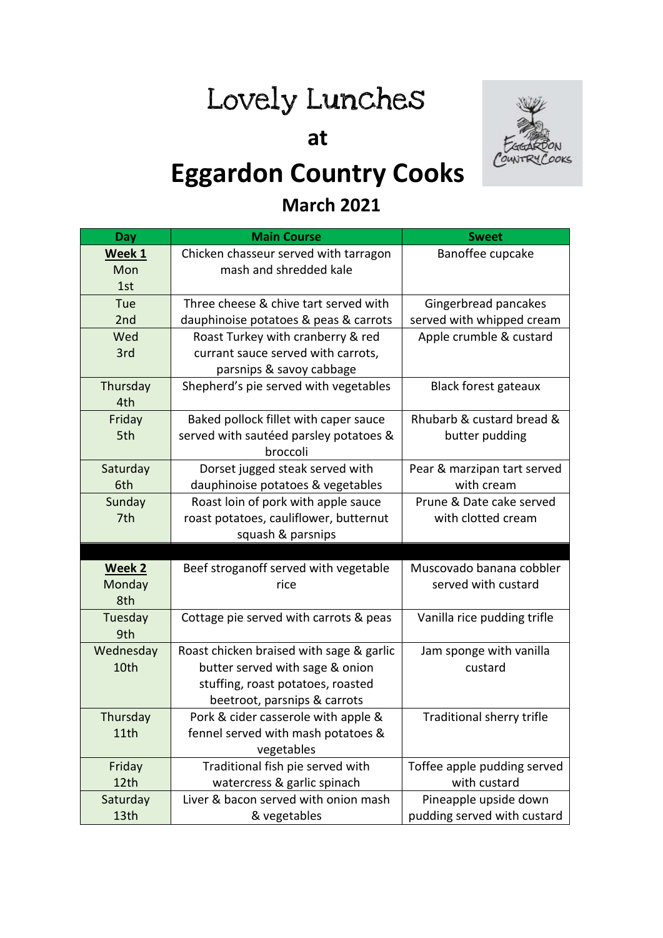# Lovely Lunches

 **at**



## **Eggardon Country Cooks**

#### **March 2021**

| Day       | <b>Main Course</b>                       | <b>Sweet</b>                |
|-----------|------------------------------------------|-----------------------------|
| Week 1    | Chicken chasseur served with tarragon    | Banoffee cupcake            |
| Mon       | mash and shredded kale                   |                             |
| 1st       |                                          |                             |
| Tue       | Three cheese & chive tart served with    | Gingerbread pancakes        |
| 2nd       | dauphinoise potatoes & peas & carrots    | served with whipped cream   |
| Wed       | Roast Turkey with cranberry & red        | Apple crumble & custard     |
| 3rd       | currant sauce served with carrots,       |                             |
|           | parsnips & savoy cabbage                 |                             |
| Thursday  | Shepherd's pie served with vegetables    | <b>Black forest gateaux</b> |
| 4th       |                                          |                             |
| Friday    | Baked pollock fillet with caper sauce    | Rhubarb & custard bread &   |
| 5th       | served with sautéed parsley potatoes &   | butter pudding              |
|           | broccoli                                 |                             |
| Saturday  | Dorset jugged steak served with          | Pear & marzipan tart served |
| 6th       | dauphinoise potatoes & vegetables        | with cream                  |
| Sunday    | Roast loin of pork with apple sauce      | Prune & Date cake served    |
| 7th       | roast potatoes, cauliflower, butternut   | with clotted cream          |
|           | squash & parsnips                        |                             |
|           |                                          |                             |
| Week 2    | Beef stroganoff served with vegetable    | Muscovado banana cobbler    |
| Monday    | rice                                     | served with custard         |
| 8th       |                                          |                             |
| Tuesday   | Cottage pie served with carrots & peas   | Vanilla rice pudding trifle |
| 9th       |                                          |                             |
| Wednesday | Roast chicken braised with sage & garlic | Jam sponge with vanilla     |
| 10th      | butter served with sage & onion          | custard                     |
|           | stuffing, roast potatoes, roasted        |                             |
|           | beetroot, parsnips & carrots             |                             |
| Thursday  | Pork & cider casserole with apple &      | Traditional sherry trifle   |
| 11th      | fennel served with mash potatoes &       |                             |
|           | vegetables                               |                             |
| Friday    | Traditional fish pie served with         | Toffee apple pudding served |
| 12th      | watercress & garlic spinach              | with custard                |
| Saturday  | Liver & bacon served with onion mash     | Pineapple upside down       |
| 13th      | & vegetables                             | pudding served with custard |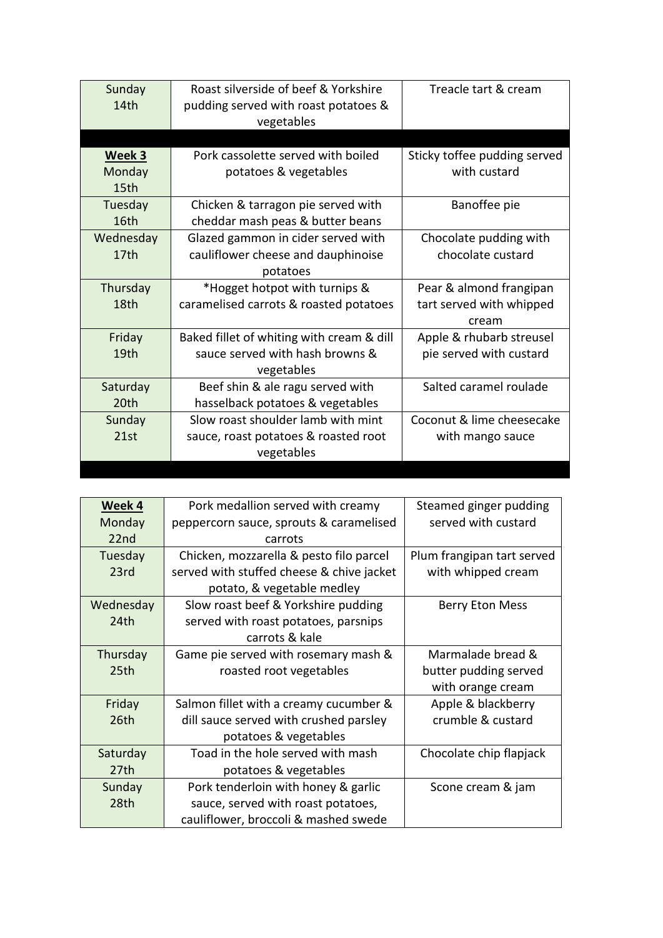| Sunday           | Roast silverside of beef & Yorkshire      | Treacle tart & cream         |
|------------------|-------------------------------------------|------------------------------|
| 14th             | pudding served with roast potatoes &      |                              |
|                  | vegetables                                |                              |
|                  |                                           |                              |
| Week 3           | Pork cassolette served with boiled        | Sticky toffee pudding served |
| Monday           | potatoes & vegetables                     | with custard                 |
| 15th             |                                           |                              |
| Tuesday          | Chicken & tarragon pie served with        | Banoffee pie                 |
| 16th             | cheddar mash peas & butter beans          |                              |
| Wednesday        | Glazed gammon in cider served with        | Chocolate pudding with       |
| 17 <sub>th</sub> | cauliflower cheese and dauphinoise        | chocolate custard            |
|                  | potatoes                                  |                              |
| Thursday         | *Hogget hotpot with turnips &             | Pear & almond frangipan      |
| 18th             | caramelised carrots & roasted potatoes    | tart served with whipped     |
|                  |                                           | cream                        |
| Friday           | Baked fillet of whiting with cream & dill | Apple & rhubarb streusel     |
| 19th             | sauce served with hash browns &           | pie served with custard      |
|                  | vegetables                                |                              |
| Saturday         | Beef shin & ale ragu served with          | Salted caramel roulade       |
| 20th             | hasselback potatoes & vegetables          |                              |
| Sunday           | Slow roast shoulder lamb with mint        | Coconut & lime cheesecake    |
| 21st             | sauce, roast potatoes & roasted root      | with mango sauce             |
|                  | vegetables                                |                              |
|                  |                                           |                              |

| Week 4    | Pork medallion served with creamy         | Steamed ginger pudding     |
|-----------|-------------------------------------------|----------------------------|
| Monday    | peppercorn sauce, sprouts & caramelised   | served with custard        |
| 22nd      | carrots                                   |                            |
| Tuesday   | Chicken, mozzarella & pesto filo parcel   | Plum frangipan tart served |
| 23rd      | served with stuffed cheese & chive jacket | with whipped cream         |
|           | potato, & vegetable medley                |                            |
| Wednesday | Slow roast beef & Yorkshire pudding       | <b>Berry Eton Mess</b>     |
| 24th      | served with roast potatoes, parsnips      |                            |
|           | carrots & kale                            |                            |
| Thursday  | Game pie served with rosemary mash &      | Marmalade bread &          |
| 25th      | roasted root vegetables                   | butter pudding served      |
|           |                                           | with orange cream          |
| Friday    | Salmon fillet with a creamy cucumber &    | Apple & blackberry         |
| 26th      | dill sauce served with crushed parsley    | crumble & custard          |
|           | potatoes & vegetables                     |                            |
| Saturday  | Toad in the hole served with mash         | Chocolate chip flapjack    |
| 27th      | potatoes & vegetables                     |                            |
| Sunday    | Pork tenderloin with honey & garlic       | Scone cream & jam          |
| 28th      | sauce, served with roast potatoes,        |                            |
|           | cauliflower, broccoli & mashed swede      |                            |